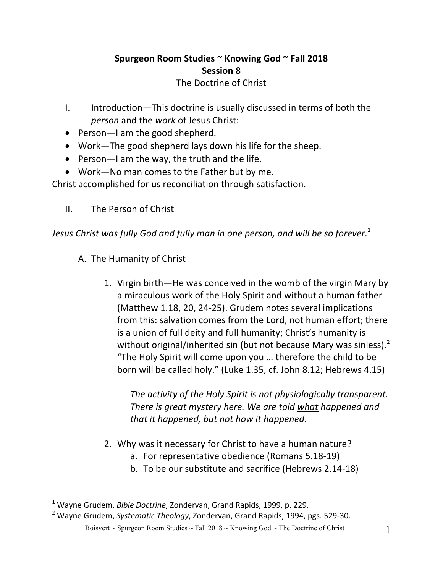## Spurgeon Room Studies ~ Knowing God ~ Fall 2018 **Session 8**

The Doctrine of Christ

- I. Introduction—This doctrine is usually discussed in terms of both the *person* and the *work* of Jesus Christ:
- Person-I am the good shepherd.
- Work—The good shepherd lays down his life for the sheep.
- Person—I am the way, the truth and the life.
- Work-No man comes to the Father but by me.

Christ accomplished for us reconciliation through satisfaction.

II. The Person of Christ

*Jesus Christ was fully God and fully man in one person, and will be so forever.*<sup>1</sup>

- A. The Humanity of Christ
	- 1. Virgin birth—He was conceived in the womb of the virgin Mary by a miraculous work of the Holy Spirit and without a human father (Matthew 1.18, 20, 24-25). Grudem notes several implications from this: salvation comes from the Lord, not human effort; there is a union of full deity and full humanity; Christ's humanity is without original/inherited sin (but not because Mary was sinless).<sup>2</sup> "The Holy Spirit will come upon you ... therefore the child to be born will be called holy." (Luke 1.35, cf. John 8.12; Hebrews 4.15)

*The activity of the Holy Spirit is not physiologically transparent. There is great mystery here. We are told what happened and that it happened, but not how it happened.* 

- 2. Why was it necessary for Christ to have a human nature?
	- a. For representative obedience (Romans 5.18-19)
	- b. To be our substitute and sacrifice (Hebrews 2.14-18)

 $\overline{a}$ <sup>1</sup> Wavne Grudem, *Bible Doctrine*, Zondervan, Grand Rapids, 1999, p. 229.

Boisvert ~ Spurgeon Room Studies ~ Fall  $2018 \sim$  Knowing God ~ The Doctrine of Christ 1 <sup>2</sup> Wayne Grudem, Systematic Theology, Zondervan, Grand Rapids, 1994, pgs. 529-30.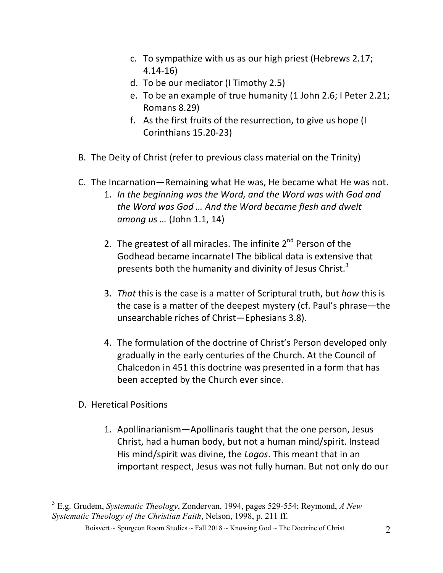- c. To sympathize with us as our high priest (Hebrews 2.17; 4.14-16)
- d. To be our mediator (I Timothy 2.5)
- e. To be an example of true humanity (1 John 2.6; I Peter 2.21; Romans 8.29)
- f. As the first fruits of the resurrection, to give us hope (I Corinthians 15.20-23)
- B. The Deity of Christ (refer to previous class material on the Trinity)
- C. The Incarnation—Remaining what He was, He became what He was not.
	- 1. In the beginning was the Word, and the Word was with God and *the Word was God ... And the Word became flesh and dwelt among us ...* (John 1.1, 14)
	- 2. The greatest of all miracles. The infinite  $2<sup>nd</sup>$  Person of the Godhead became incarnate! The biblical data is extensive that presents both the humanity and divinity of Jesus Christ.<sup>3</sup>
	- 3. *That* this is the case is a matter of Scriptural truth, but *how* this is the case is a matter of the deepest mystery (cf. Paul's phrase—the unsearchable riches of Christ-Ephesians 3.8).
	- 4. The formulation of the doctrine of Christ's Person developed only gradually in the early centuries of the Church. At the Council of Chalcedon in 451 this doctrine was presented in a form that has been accepted by the Church ever since.
- D. Heretical Positions
	- 1. Apollinarianism—Apollinaris taught that the one person, Jesus Christ, had a human body, but not a human mind/spirit. Instead His mind/spirit was divine, the *Logos*. This meant that in an important respect, Jesus was not fully human. But not only do our

 $\overline{a}$ <sup>3</sup> E.g. Grudem, *Systematic Theology*, Zondervan, 1994, pages 529-554; Reymond, *A New Systematic Theology of the Christian Faith*, Nelson, 1998, p. 211 ff.

Boisvert ~ Spurgeon Room Studies ~ Fall 2018 ~ Knowing God ~ The Doctrine of Christ 2